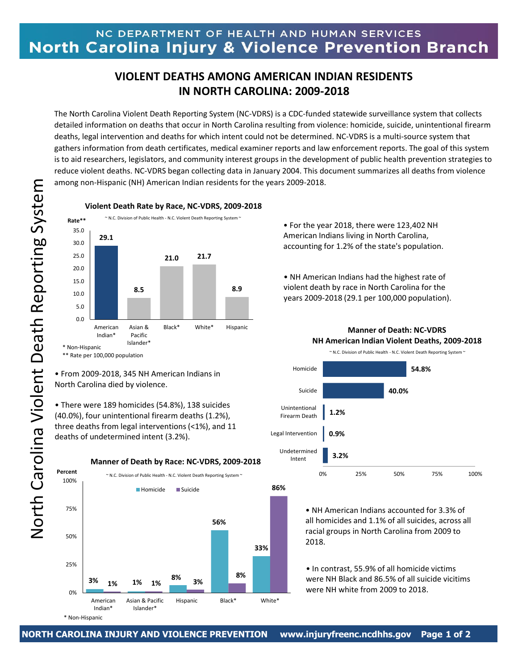## NC DEPARTMENT OF HEALTH AND HUMAN SERVICES North Carolina Injury & Violence Prevention Branch

## **VIOLENT DEATHS AMONG AMERICAN INDIAN RESIDENTS IN NORTH CAROLINA: 2009-2018**

The North Carolina Violent Death Reporting System (NC-VDRS) is a CDC-funded statewide surveillance system that collects detailed information on deaths that occur in North Carolina resulting from violence: homicide, suicide, unintentional firearm deaths, legal intervention and deaths for which intent could not be determined. NC-VDRS is a multi-source system that gathers information from death certificates, medical examiner reports and law enforcement reports. The goal of this system is to aid researchers, legislators, and community interest groups in the development of public health prevention strategies to reduce violent deaths. NC-VDRS began collecting data in January 2004. This document summarizes all deaths from violence among non-Hispanic (NH) American Indian residents for the years 2009-2018.



• From 2009-2018, 345 NH American Indians in North Carolina died by violence.

• There were 189 homicides (54.8%), 138 suicides (40.0%), four unintentional firearm deaths (1.2%), three deaths from legal interventions (<1%), and 11 deaths of undetermined intent (3.2%).

**3% 1% 8% 56% 33% 1% 1% 3% 8% 86%** 0% 25% 50% 75% 100% American Indian\* Asian & Pacific Islander\* Hispanic Black\* White\* **Percent** Homicide Suicide **Manner of Death by Race: NC-VDRS, 2009-2018** ~ N.C. Division of Public Health - N.C. Violent Death Reporting System ~

**Violent Death Rate by Race, NC-VDRS, 2009-2018**

• For the year 2018, there were 123,402 NH American Indians living in North Carolina, accounting for 1.2% of the state's population.

• NH American Indians had the highest rate of violent death by race in North Carolina for the years 2009-2018 (29.1 per 100,000 population).



## **Manner of Death: NC-VDRS NH American Indian Violent Deaths, 2009-2018**

• NH American Indians accounted for 3.3% of all homicides and 1.1% of all suicides, across all racial groups in North Carolina from 2009 to 2018.

• In contrast, 55.9% of all homicide victims were NH Black and 86.5% of all suicide vicitims were NH white from 2009 to 2018.

North Carolina Violent Death Reporting System North Carolina Violent Death Reporting System<br>
-- Andrew System

\* Non-Hispanic